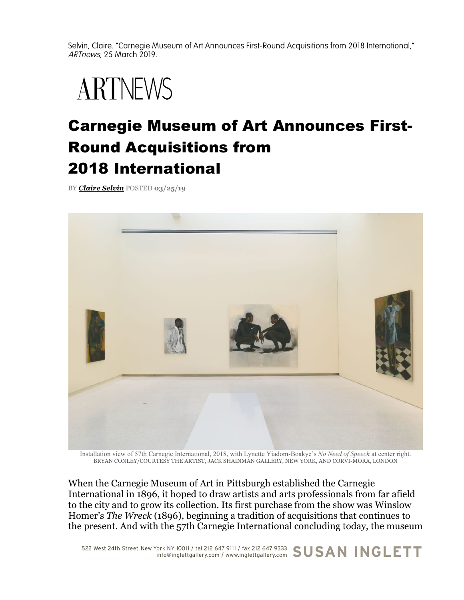Selvin, Claire. "Carnegie Museum of Art Announces First-Round Acquisitions from 2018 International," ARTnews, 25 March 2019.

## **ARTNEWS**

## Carnegie Museum of Art Announces First-Round Acquisitions from 2018 International

BY *Claire Selvin* POSTED **03/25/19**



Installation view of 57th Carnegie International, 2018, with Lynette Yiadom-Boakye's *No Need of Speech* at center right. BRYAN CONLEY/COURTESY THE ARTIST, JACK SHAINMAN GALLERY, NEW YORK, AND CORVI-MORA, LONDON

When the Carnegie Museum of Art in Pittsburgh established the Carnegie International in 1896, it hoped to draw artists and arts professionals from far afield to the city and to grow its collection. Its first purchase from the show was Winslow Homer's *The Wreck* (1896), beginning a tradition of acquisitions that continues to the present. And with the 57th Carnegie International concluding today, the museum

522 West 24th Street New York NY 10011 / tel 212 647 9111 / fax 212 647 9333 SUSAN INGLETT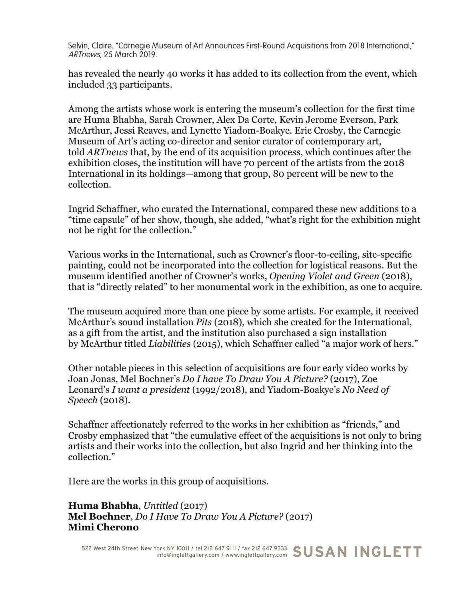Selvin, Claire. "Carnegie Museum of Art Announces First-Round Acquisitions from 2018 International," ARTnews, 25 March 2019.

has revealed the nearly 40 works it has added to its collection from the event, which included 33 participants.

Among the artists whose work is entering the museum's collection for the first time are Huma Bhabha, Sarah Crowner, Alex Da Corte, Kevin Jerome Everson, Park McArthur, Jessi Reaves, and Lynette Yiadom-Boakye. Eric Crosby, the Carnegie Museum of Art's acting co-director and senior curator of contemporary art, told *ARTnews* that, by the end of its acquisition process, which continues after the exhibition closes, the institution will have 70 percent of the artists from the 2018 International in its holdings—among that group, 80 percent will be new to the collection.

Ingrid Schaffner, who curated the International, compared these new additions to a "time capsule" of her show, though, she added, "what's right for the exhibition might not be right for the collection."

Various works in the International, such as Crowner's floor-to-ceiling, site-specific painting, could not be incorporated into the collection for logistical reasons. But the museum identified another of Crowner's works, *Opening Violet and Green* (2018), that is "directly related" to her monumental work in the exhibition, as one to acquire.

The museum acquired more than one piece by some artists. For example, it received McArthur's sound installation *Pits* (2018), which she created for the International, as a gift from the artist, and the institution also purchased a sign installation by McArthur titled *Liabilities* (2015), which Schaffner called "a major work of hers."

Other notable pieces in this selection of acquisitions are four early video works by Joan Jonas, Mel Bochner's *Do I have To Draw You A Picture?* (2017), Zoe Leonard's *I want a president* (1992/2018), and Yiadom-Boakye's *No Need of Speech* (2018).

Schaffner affectionately referred to the works in her exhibition as "friends," and Crosby emphasized that "the cumulative effect of the acquisitions is not only to bring artists and their works into the collection, but also Ingrid and her thinking into the collection."

Here are the works in this group of acquisitions.

**Huma Bhabha**, *Untitled* (2017) **Mel Bochner**, *Do I Have To Draw You A Picture?* (2017) **Mimi Cherono**